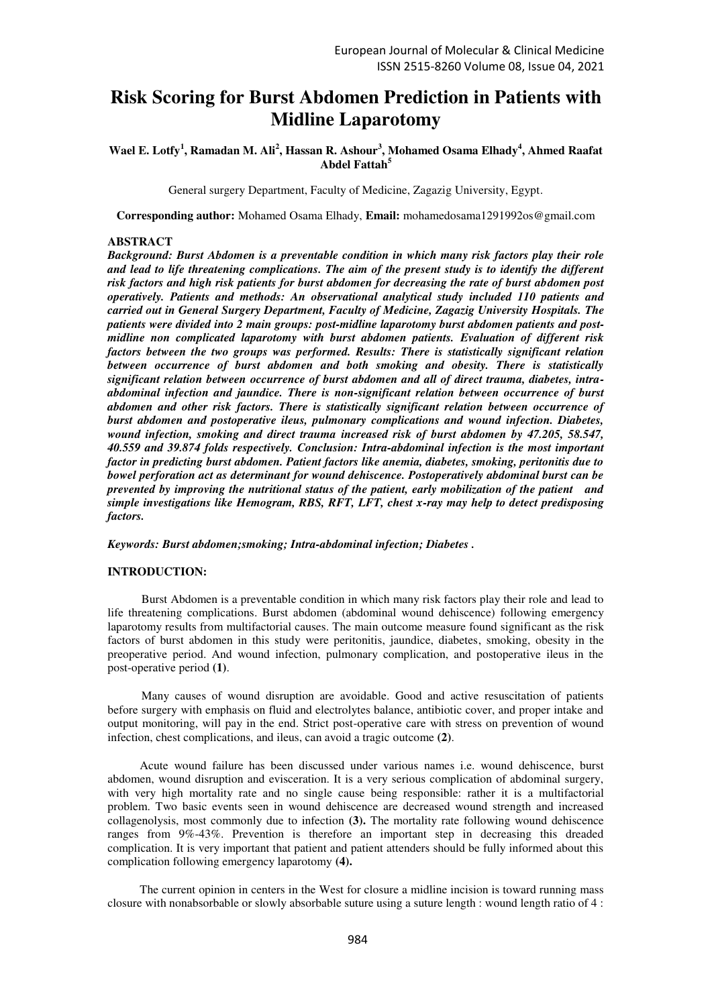# **Risk Scoring for Burst Abdomen Prediction in Patients with Midline Laparotomy**

# **Wael E. Lotfy<sup>1</sup> , Ramadan M. Ali<sup>2</sup> , Hassan R. Ashour<sup>3</sup> , Mohamed Osama Elhady<sup>4</sup> , Ahmed Raafat Abdel Fattah<sup>5</sup>**

General surgery Department, Faculty of Medicine, Zagazig University, Egypt.

**Corresponding author:** Mohamed Osama Elhady, **Email:** [mohamedosama1291992os@gmail.com](mailto:mohamedosama1291992os@gmail.com) 

## **ABSTRACT**

*Background: Burst Abdomen is a preventable condition in which many risk factors play their role and lead to life threatening complications. The aim of the present study is to identify the different risk factors and high risk patients for burst abdomen for decreasing the rate of burst abdomen post operatively. Patients and methods: An observational analytical study included 110 patients and carried out in General Surgery Department, Faculty of Medicine, Zagazig University Hospitals. The patients were divided into 2 main groups: post-midline laparotomy burst abdomen patients and postmidline non complicated laparotomy with burst abdomen patients. Evaluation of different risk factors between the two groups was performed. Results: There is statistically significant relation between occurrence of burst abdomen and both smoking and obesity. There is statistically significant relation between occurrence of burst abdomen and all of direct trauma, diabetes, intraabdominal infection and jaundice. There is non-significant relation between occurrence of burst abdomen and other risk factors. There is statistically significant relation between occurrence of burst abdomen and postoperative ileus, pulmonary complications and wound infection. Diabetes, wound infection, smoking and direct trauma increased risk of burst abdomen by 47.205, 58.547, 40.559 and 39.874 folds respectively. Conclusion: Intra-abdominal infection is the most important factor in predicting burst abdomen. Patient factors like anemia, diabetes, smoking, peritonitis due to bowel perforation act as determinant for wound dehiscence. Postoperatively abdominal burst can be prevented by improving the nutritional status of the patient, early mobilization of the patient and simple investigations like Hemogram, RBS, RFT, LFT, chest x-ray may help to detect predisposing factors.* 

*Keywords: Burst abdomen;smoking; Intra-abdominal infection; Diabetes .* 

## **INTRODUCTION:**

Burst Abdomen is a preventable condition in which many risk factors play their role and lead to life threatening complications. Burst abdomen (abdominal wound dehiscence) following emergency laparotomy results from multifactorial causes. The main outcome measure found significant as the risk factors of burst abdomen in this study were peritonitis, jaundice, diabetes, smoking, obesity in the preoperative period. And wound infection, pulmonary complication, and postoperative ileus in the post-operative period **(1)**.

Many causes of wound disruption are avoidable. Good and active resuscitation of patients before surgery with emphasis on fluid and electrolytes balance, antibiotic cover, and proper intake and output monitoring, will pay in the end. Strict post-operative care with stress on prevention of wound infection, chest complications, and ileus, can avoid a tragic outcome **(2)**.

Acute wound failure has been discussed under various names i.e. wound dehiscence, burst abdomen, wound disruption and evisceration. It is a very serious complication of abdominal surgery, with very high mortality rate and no single cause being responsible: rather it is a multifactorial problem. Two basic events seen in wound dehiscence are decreased wound strength and increased collagenolysis, most commonly due to infection **(3).** The mortality rate following wound dehiscence ranges from 9%-43%. Prevention is therefore an important step in decreasing this dreaded complication. It is very important that patient and patient attenders should be fully informed about this complication following emergency laparotomy **(4).**

The current opinion in centers in the West for closure a midline incision is toward running mass closure with nonabsorbable or slowly absorbable suture using a suture length : wound length ratio of 4 :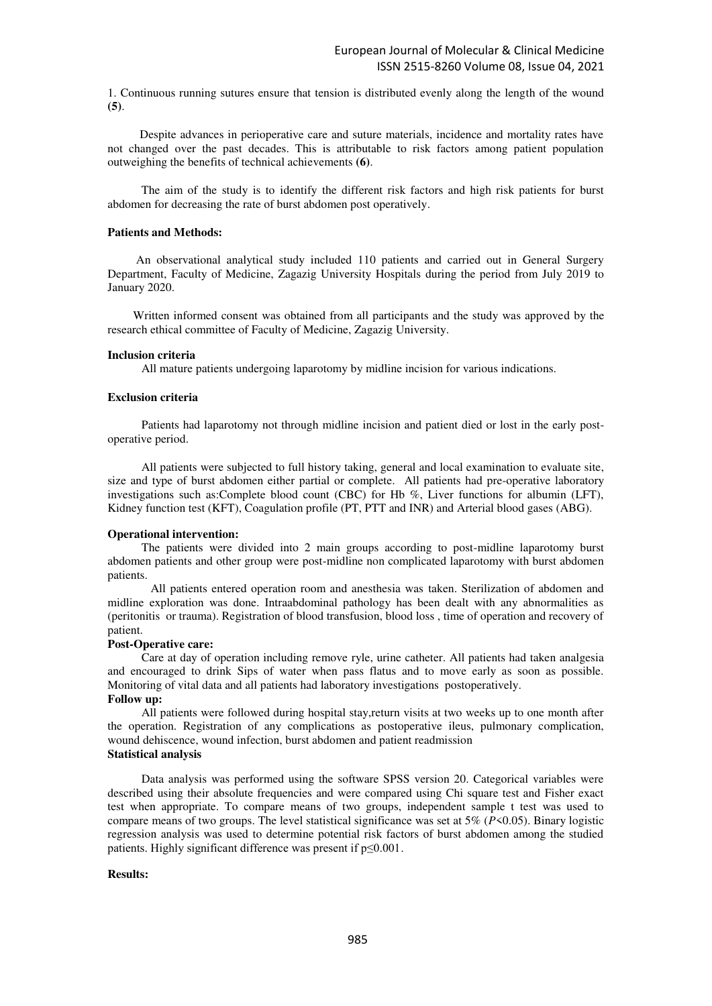1. Continuous running sutures ensure that tension is distributed evenly along the length of the wound **(5)**.

Despite advances in perioperative care and suture materials, incidence and mortality rates have not changed over the past decades. This is attributable to risk factors among patient population outweighing the benefits of technical achievements **(6)**.

The aim of the study is to identify the different risk factors and high risk patients for burst abdomen for decreasing the rate of burst abdomen post operatively.

## **Patients and Methods:**

 An observational analytical study included 110 patients and carried out in General Surgery Department, Faculty of Medicine, Zagazig University Hospitals during the period from July 2019 to January 2020.

Written informed consent was obtained from all participants and the study was approved by the research ethical committee of Faculty of Medicine, Zagazig University.

#### **Inclusion criteria**

All mature patients undergoing laparotomy by midline incision for various indications.

## **Exclusion criteria**

Patients had laparotomy not through midline incision and patient died or lost in the early postoperative period.

All patients were subjected to full history taking, general and local examination to evaluate site, size and type of burst abdomen either partial or complete. All patients had pre-operative laboratory investigations such as:Complete blood count (CBC) for Hb %, Liver functions for albumin (LFT), Kidney function test (KFT), Coagulation profile (PT, PTT and INR) and Arterial blood gases (ABG).

#### **Operational intervention:**

The patients were divided into 2 main groups according to post-midline laparotomy burst abdomen patients and other group were post-midline non complicated laparotomy with burst abdomen patients.

All patients entered operation room and anesthesia was taken. Sterilization of abdomen and midline exploration was done. Intraabdominal pathology has been dealt with any abnormalities as (peritonitis or trauma). Registration of blood transfusion, blood loss , time of operation and recovery of patient.

#### **Post-Operative care:**

Care at day of operation including remove ryle, urine catheter. All patients had taken analgesia and encouraged to drink Sips of water when pass flatus and to move early as soon as possible. Monitoring of vital data and all patients had laboratory investigations postoperatively.

## **Follow up:**

All patients were followed during hospital stay,return visits at two weeks up to one month after the operation. Registration of any complications as postoperative ileus, pulmonary complication, woun[d dehiscence,](https://www.google.com.eg/search?q=dehiscence&spell=1&sa=X&ved=0ahUKEwie2LC2zcrdAhVlT98KHaPVBq4QkeECCCkoAA) wound infection, burst abdomen and patient readmission **Statistical analysis** 

Data analysis was performed using the software SPSS version 20. Categorical variables were described using their absolute frequencies and were compared using Chi square test and Fisher exact test when appropriate. To compare means of two groups, independent sample t test was used to compare means of two groups. The level statistical significance was set at 5% (*P*<0.05). Binary logistic regression analysis was used to determine potential risk factors of burst abdomen among the studied patients. Highly significant difference was present if p≤0.001.

#### **Results:**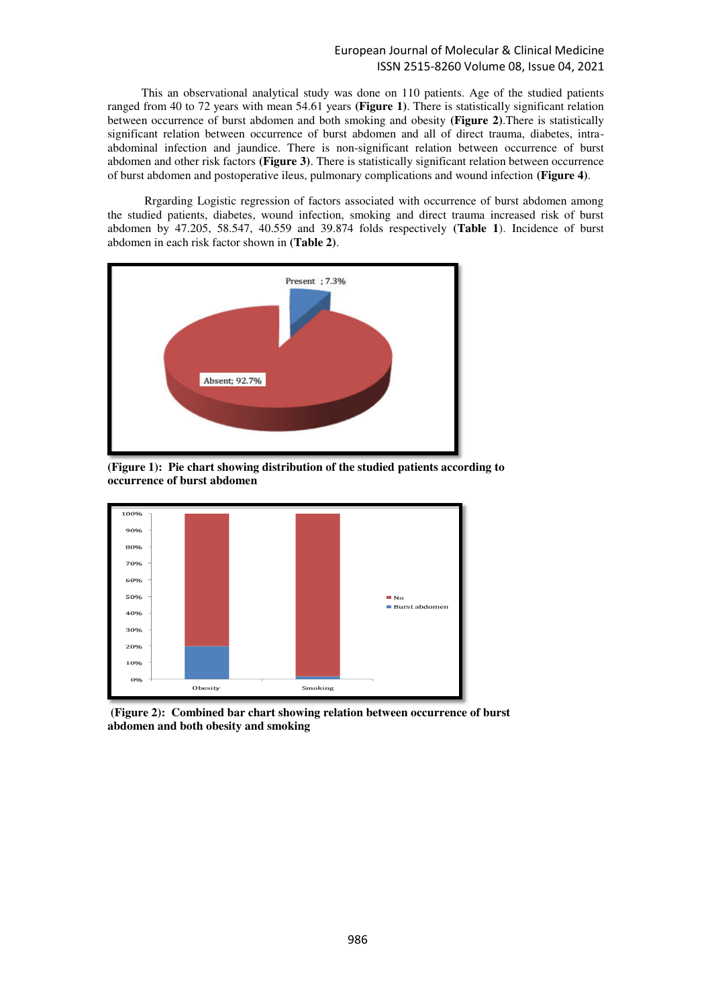This an observational analytical study was done on 110 patients. Age of the studied patients ranged from 40 to 72 years with mean 54.61 years **(Figure 1)**. There is statistically significant relation between occurrence of burst abdomen and both smoking and obesity **(Figure 2)**.There is statistically significant relation between occurrence of burst abdomen and all of direct trauma, diabetes, intraabdominal infection and jaundice. There is non-significant relation between occurrence of burst abdomen and other risk factors **(Figure 3)**. There is statistically significant relation between occurrence of burst abdomen and postoperative ileus, pulmonary complications and wound infection **(Figure 4)**.

 Rrgarding Logistic regression of factors associated with occurrence of burst abdomen among the studied patients, diabetes, wound infection, smoking and direct trauma increased risk of burst abdomen by 47.205, 58.547, 40.559 and 39.874 folds respectively **(Table 1**). Incidence of burst abdomen in each risk factor shown in **(Table 2)**.



**(Figure 1): Pie chart showing distribution of the studied patients according to occurrence of burst abdomen** 



 **(Figure 2): Combined bar chart showing relation between occurrence of burst abdomen and both obesity and smoking**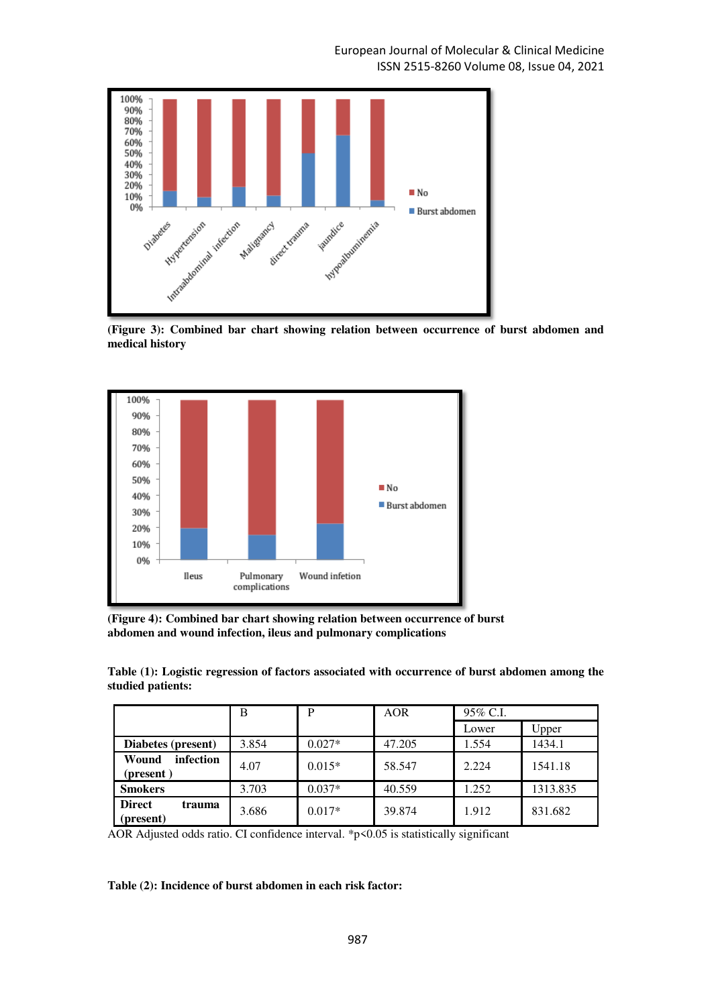

**(Figure 3): Combined bar chart showing relation between occurrence of burst abdomen and medical history** 



**(Figure 4): Combined bar chart showing relation between occurrence of burst abdomen and wound infection, ileus and pulmonary complications** 

**Table (1): Logistic regression of factors associated with occurrence of burst abdomen among the studied patients:** 

|                                      | Β     | P        | <b>AOR</b> | 95% C.I. |          |
|--------------------------------------|-------|----------|------------|----------|----------|
|                                      |       |          |            | Lower    | Upper    |
| Diabetes (present)                   | 3.854 | $0.027*$ | 47.205     | 1.554    | 1434.1   |
| infection<br>Wound<br>(present)      | 4.07  | $0.015*$ | 58.547     | 2.224    | 1541.18  |
| <b>Smokers</b>                       | 3.703 | $0.037*$ | 40.559     | 1.252    | 1313.835 |
| <b>Direct</b><br>trauma<br>(present) | 3.686 | $0.017*$ | 39.874     | 1.912    | 831.682  |

AOR Adjusted odds ratio. CI confidence interval. \*p<0.05 is statistically significant

**Table (2): Incidence of burst abdomen in each risk factor:**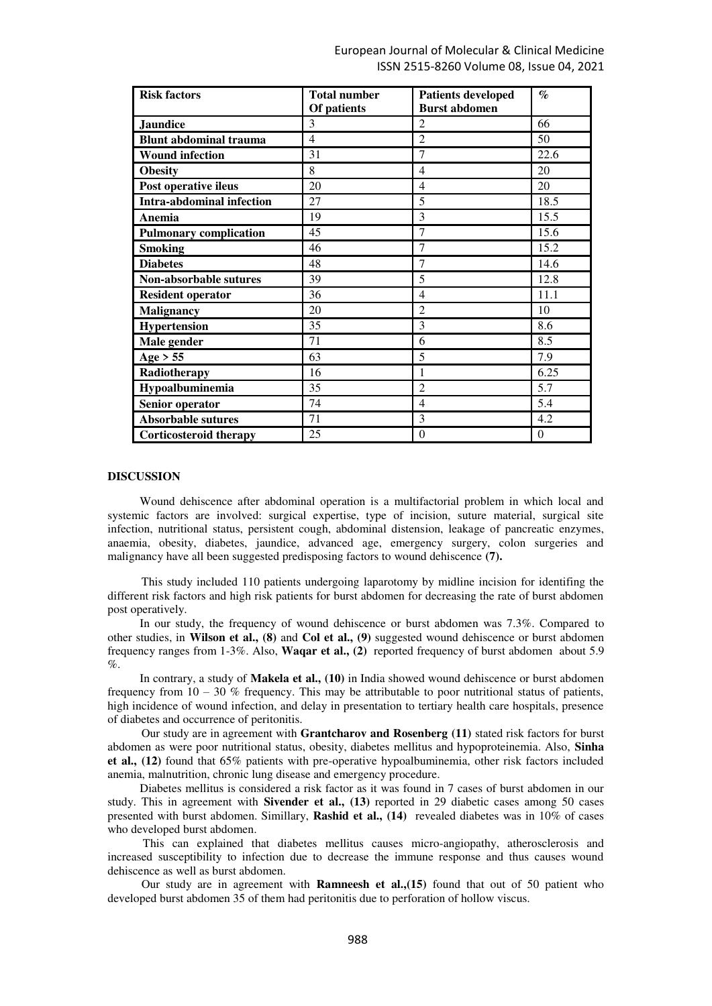| <b>Risk factors</b>              | <b>Total number</b><br>Of patients | <b>Patients developed</b><br><b>Burst abdomen</b> | $\%$     |
|----------------------------------|------------------------------------|---------------------------------------------------|----------|
| <b>Jaundice</b>                  | 3                                  | $\overline{2}$                                    | 66       |
| <b>Blunt abdominal trauma</b>    | $\overline{4}$                     | $\overline{2}$                                    | 50       |
| <b>Wound infection</b>           | 31                                 | 7                                                 | 22.6     |
| <b>Obesity</b>                   | 8                                  | $\overline{4}$                                    | 20       |
| Post operative ileus             | 20                                 | 4                                                 | 20       |
| <b>Intra-abdominal infection</b> | 27                                 | 5                                                 | 18.5     |
| Anemia                           | 19                                 | 3                                                 | 15.5     |
| <b>Pulmonary complication</b>    | 45                                 | 7                                                 | 15.6     |
| <b>Smoking</b>                   | 46                                 | $\overline{7}$                                    | 15.2     |
| <b>Diabetes</b>                  | 48                                 | 7                                                 | 14.6     |
| Non-absorbable sutures           | 39                                 | 5                                                 | 12.8     |
| <b>Resident operator</b>         | 36                                 | $\overline{4}$                                    | 11.1     |
| <b>Malignancy</b>                | 20                                 | $\overline{2}$                                    | 10       |
| Hypertension                     | 35                                 | 3                                                 | 8.6      |
| Male gender                      | 71                                 | 6                                                 | 8.5      |
| Age > 55                         | 63                                 | 5                                                 | 7.9      |
| Radiotherapy                     | 16                                 | 1                                                 | 6.25     |
| Hypoalbuminemia                  | 35                                 | $\overline{2}$                                    | 5.7      |
| Senior operator                  | 74                                 | $\overline{4}$                                    | 5.4      |
| <b>Absorbable sutures</b>        | 71                                 | 3                                                 | 4.2      |
| <b>Corticosteroid therapy</b>    | 25                                 | $\theta$                                          | $\theta$ |

## **DISCUSSION**

Wound dehiscence after abdominal operation is a multifactorial problem in which local and systemic factors are involved: surgical expertise, type of incision, suture material, surgical site infection, nutritional status, persistent cough, abdominal distension, leakage of pancreatic enzymes, anaemia, obesity, diabetes, jaundice, advanced age, emergency surgery, colon surgeries and malignancy have all been suggested predisposing factors to wound dehiscence **(7).**

This study included 110 patients undergoing laparotomy by midline incision for identifing the different risk factors and high risk patients for burst abdomen for decreasing the rate of burst abdomen post operatively.

In our study, the frequency of wound dehiscence or burst abdomen was 7.3%. Compared to other studies, in **Wilson et al., (8)** and **Col et al., (9)** suggested wound dehiscence or burst abdomen frequency ranges from 1-3%. Also, **Waqar et al., (2)** reported frequency of burst abdomen about 5.9  $\%$ .

In contrary, a study of **Makela et al., (10)** in India showed wound dehiscence or burst abdomen frequency from  $10 - 30$  % frequency. This may be attributable to poor nutritional status of patients, high incidence of wound infection, and delay in presentation to tertiary health care hospitals, presence of diabetes and occurrence of peritonitis.

Our study are in agreement with **Grantcharov and Rosenberg (11)** stated risk factors for burst abdomen as were poor nutritional status, obesity, diabetes mellitus and hypoproteinemia. Also, **Sinha et al., (12)** found that 65% patients with pre-operative hypoalbuminemia, other risk factors included anemia, malnutrition, chronic lung disease and emergency procedure.

Diabetes mellitus is considered a risk factor as it was found in 7 cases of burst abdomen in our study. This in agreement with **Sivender et al., (13)** reported in 29 diabetic cases among 50 cases presented with burst abdomen. Simillary, **Rashid et al., (14)** revealed diabetes was in 10% of cases who developed burst abdomen.

 This can explained that diabetes mellitus causes micro-angiopathy, atherosclerosis and increased susceptibility to infection due to decrease the immune response and thus causes wound dehiscence as well as burst abdomen.

Our study are in agreement with **Ramneesh et al.,(15)** found that out of 50 patient who developed burst abdomen 35 of them had peritonitis due to perforation of hollow viscus.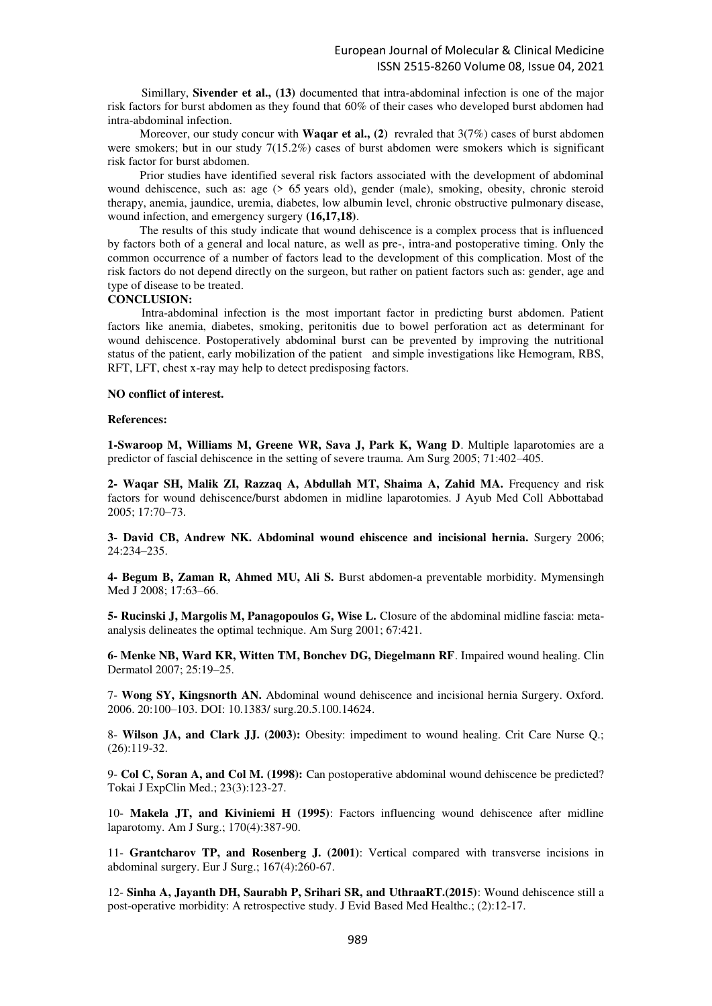Simillary, **Sivender et al., (13)** documented that intra-abdominal infection is one of the major risk factors for burst abdomen as they found that 60% of their cases who developed burst abdomen had intra-abdominal infection.

Moreover, our study concur with **Waqar et al., (2)** revraled that  $3(7%)$  cases of burst abdomen were smokers; but in our study 7(15.2%) cases of burst abdomen were smokers which is significant risk factor for burst abdomen.

Prior studies have identified several risk factors associated with the development of abdominal wound dehiscence, such as: age (> 65 years old), gender (male), smoking, obesity, chronic steroid therapy, anemia, jaundice, uremia, diabetes, low albumin level, chronic obstructive pulmonary disease, wound infection, and emergency surgery **(16,17,18)**.

The results of this study indicate that wound dehiscence is a complex process that is influenced by factors both of a general and local nature, as well as pre-, intra-and postoperative timing. Only the common occurrence of a number of factors lead to the development of this complication. Most of the risk factors do not depend directly on the surgeon, but rather on patient factors such as: gender, age and type of disease to be treated.

## **CONCLUSION:**

Intra-abdominal infection is the most important factor in predicting burst abdomen. Patient factors like anemia, diabetes, smoking, peritonitis due to bowel perforation act as determinant for wound dehiscence. Postoperatively abdominal burst can be prevented by improving the nutritional status of the patient, early mobilization of the patient and simple investigations like Hemogram, RBS, RFT, LFT, chest x-ray may help to detect predisposing factors.

## **NO conflict of interest.**

#### **References:**

**1-Swaroop M, Williams M, Greene WR, Sava J, Park K, Wang D**. Multiple laparotomies are a predictor of fascial dehiscence in the setting of severe trauma. Am Surg 2005; 71:402–405.

**2- Waqar SH, Malik ZI, Razzaq A, Abdullah MT, Shaima A, Zahid MA.** Frequency and risk factors for wound dehiscence/burst abdomen in midline laparotomies. J Ayub Med Coll Abbottabad 2005; 17:70–73.

**3- David CB, Andrew NK. Abdominal wound ehiscence and incisional hernia.** Surgery 2006; 24:234–235.

**4- Begum B, Zaman R, Ahmed MU, Ali S.** Burst abdomen-a preventable morbidity. Mymensingh Med J 2008: 17:63-66.

**5- Rucinski J, Margolis M, Panagopoulos G, Wise L.** Closure of the abdominal midline fascia: metaanalysis delineates the optimal technique. Am Surg 2001; 67:421.

**6- Menke NB, Ward KR, Witten TM, Bonchev DG, Diegelmann RF**. Impaired wound healing. Clin Dermatol 2007; 25:19–25.

7- **Wong SY, Kingsnorth AN.** Abdominal wound dehiscence and incisional hernia Surgery. Oxford. 2006. 20:100–103. DOI: 10.1383/ surg.20.5.100.14624.

8- **Wilson JA, and Clark JJ. (2003):** Obesity: impediment to wound healing. Crit Care Nurse Q.; (26):119-32.

9- **Col C, Soran A, and Col M. (1998):** Can postoperative abdominal wound dehiscence be predicted? Tokai J ExpClin Med.; 23(3):123-27.

10- **Makela JT, and Kiviniemi H (1995)**: Factors influencing wound dehiscence after midline laparotomy. Am J Surg.; 170(4):387-90.

11- **Grantcharov TP, and Rosenberg J. (2001)**: Vertical compared with transverse incisions in abdominal surgery. Eur J Surg.; 167(4):260-67.

12- **Sinha A, Jayanth DH, Saurabh P, Srihari SR, and UthraaRT.(2015)**: Wound dehiscence still a post-operative morbidity: A retrospective study. J Evid Based Med Healthc.; (2):12-17.